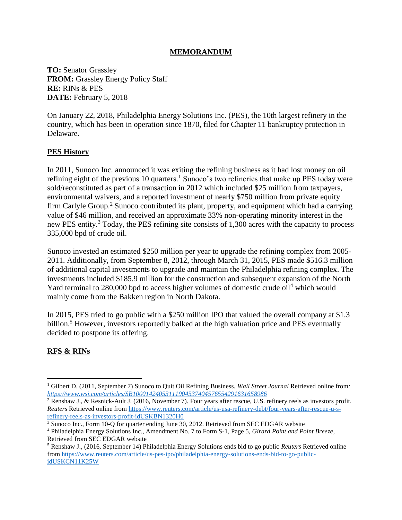#### **MEMORANDUM**

**TO:** Senator Grassley **FROM:** Grassley Energy Policy Staff **RE:** RINs & PES **DATE:** February 5, 2018

On January 22, 2018, Philadelphia Energy Solutions Inc. (PES), the 10th largest refinery in the country, which has been in operation since 1870, filed for Chapter 11 bankruptcy protection in Delaware.

#### **PES History**

In 2011, Sunoco Inc. announced it was exiting the refining business as it had lost money on oil refining eight of the previous 10 quarters.<sup>1</sup> Sunoco's two refineries that make up PES today were sold/reconstituted as part of a transaction in 2012 which included \$25 million from taxpayers, environmental waivers, and a reported investment of nearly \$750 million from private equity firm Carlyle Group.<sup>2</sup> Sunoco contributed its plant, property, and equipment which had a carrying value of \$46 million, and received an approximate 33% non-operating minority interest in the new PES entity.<sup>3</sup> Today, the PES refining site consists of 1,300 acres with the capacity to process 335,000 bpd of crude oil.

Sunoco invested an estimated \$250 million per year to upgrade the refining complex from 2005- 2011. Additionally, from September 8, 2012, through March 31, 2015, PES made \$516.3 million of additional capital investments to upgrade and maintain the Philadelphia refining complex. The investments included \$185.9 million for the construction and subsequent expansion of the North Yard terminal to 280,000 bpd to access higher volumes of domestic crude oil<sup>4</sup> which would mainly come from the Bakken region in North Dakota.

In 2015, PES tried to go public with a \$250 million IPO that valued the overall company at \$1.3 billion.<sup>5</sup> However, investors reportedly balked at the high valuation price and PES eventually decided to postpone its offering.

## **RFS & RINs**

 $\overline{\phantom{a}}$ 

<sup>1</sup> Gilbert D. (2011, September 7) Sunoco to Quit Oil Refining Business. *Wall Street Journal* Retrieved online from*: <https://www.wsj.com/articles/SB10001424053111904537404576554291631658986>*

<sup>&</sup>lt;sup>2</sup> Renshaw J.,  $\&$  Resnick-Ault J. (2016, November 7). Four years after rescue, U.S. refinery reels as investors profit. *Reuters* Retrieved online from [https://www.reuters.com/article/us-usa-refinery-debt/four-years-after-rescue-u-s](https://www.reuters.com/article/us-usa-refinery-debt/four-years-after-rescue-u-s-refinery-reels-as-investors-profit-idUSKBN1320H0)[refinery-reels-as-investors-profit-idUSKBN1320H0](https://www.reuters.com/article/us-usa-refinery-debt/four-years-after-rescue-u-s-refinery-reels-as-investors-profit-idUSKBN1320H0)

<sup>&</sup>lt;sup>3</sup> Sunoco Inc., Form 10-O for quarter ending June 30, 2012. Retrieved from SEC EDGAR website

<sup>4</sup> Philadelphia Energy Solutions Inc., Amendment No. 7 to Form S-1, Page 5, *Girard Point and Point Breeze*, Retrieved from SEC EDGAR website

<sup>5</sup> Renshaw J., (2016, September 14) Philadelphia Energy Solutions ends bid to go public *Reuters* Retrieved online from [https://www.reuters.com/article/us-pes-ipo/philadelphia-energy-solutions-ends-bid-to-go-public](https://www.reuters.com/article/us-pes-ipo/philadelphia-energy-solutions-ends-bid-to-go-public-idUSKCN11K25W)[idUSKCN11K25W](https://www.reuters.com/article/us-pes-ipo/philadelphia-energy-solutions-ends-bid-to-go-public-idUSKCN11K25W)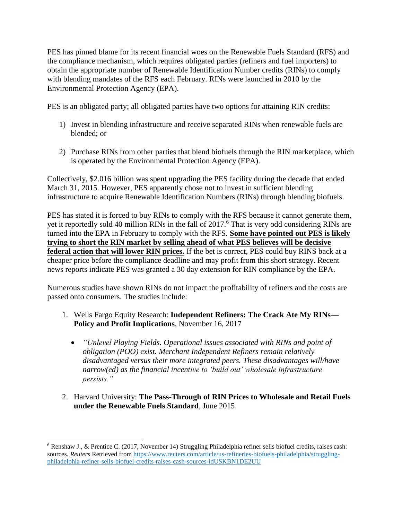PES has pinned blame for its recent financial woes on the Renewable Fuels Standard (RFS) and the compliance mechanism, which requires obligated parties (refiners and fuel importers) to obtain the appropriate number of Renewable Identification Number credits (RINs) to comply with blending mandates of the RFS each February. RINs were launched in 2010 by the Environmental Protection Agency (EPA).

PES is an obligated party; all obligated parties have two options for attaining RIN credits:

- 1) Invest in blending infrastructure and receive separated RINs when renewable fuels are blended; or
- 2) Purchase RINs from other parties that blend biofuels through the RIN marketplace, which is operated by the Environmental Protection Agency (EPA).

Collectively, \$2.016 billion was spent upgrading the PES facility during the decade that ended March 31, 2015. However, PES apparently chose not to invest in sufficient blending infrastructure to acquire Renewable Identification Numbers (RINs) through blending biofuels.

PES has stated it is forced to buy RINs to comply with the RFS because it cannot generate them, yet it reportedly sold 40 million RINs in the fall of 2017.<sup>6</sup> That is very odd considering RINs are turned into the EPA in February to comply with the RFS. **Some have pointed out PES is likely trying to short the RIN market by selling ahead of what PES believes will be decisive federal action that will lower RIN prices.** If the bet is correct, PES could buy RINS back at a cheaper price before the compliance deadline and may profit from this short strategy. Recent news reports indicate PES was granted a 30 day extension for RIN compliance by the EPA.

Numerous studies have shown RINs do not impact the profitability of refiners and the costs are passed onto consumers. The studies include:

- 1. Wells Fargo Equity Research: **Independent Refiners: The Crack Ate My RINs— Policy and Profit Implications**, November 16, 2017
	- *"Unlevel Playing Fields. Operational issues associated with RINs and point of obligation (POO) exist. Merchant Independent Refiners remain relatively disadvantaged versus their more integrated peers. These disadvantages will/have narrow(ed) as the financial incentive to 'build out' wholesale infrastructure persists."*
- 2. Harvard University: **The Pass-Through of RIN Prices to Wholesale and Retail Fuels under the Renewable Fuels Standard**, June 2015

 $\overline{a}$ 

<sup>6</sup> Renshaw J., & Prentice C. (2017, November 14) Struggling Philadelphia refiner sells biofuel credits, raises cash: sources. *Reuters* Retrieved from [https://www.reuters.com/article/us-refineries-biofuels-philadelphia/struggling](https://www.reuters.com/article/us-refineries-biofuels-philadelphia/struggling-philadelphia-refiner-sells-biofuel-credits-raises-cash-sources-idUSKBN1DE2UU)[philadelphia-refiner-sells-biofuel-credits-raises-cash-sources-idUSKBN1DE2UU](https://www.reuters.com/article/us-refineries-biofuels-philadelphia/struggling-philadelphia-refiner-sells-biofuel-credits-raises-cash-sources-idUSKBN1DE2UU)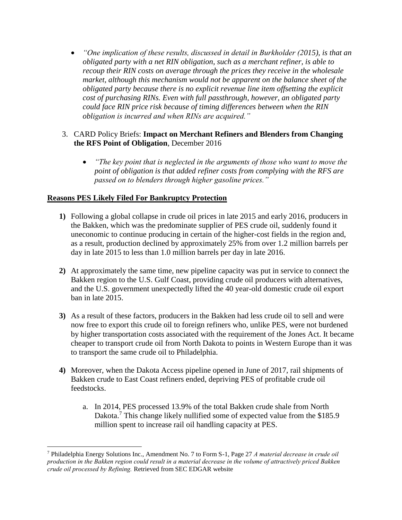• *"One implication of these results, discussed in detail in Burkholder (2015), is that an obligated party with a net RIN obligation, such as a merchant refiner, is able to recoup their RIN costs on average through the prices they receive in the wholesale market, although this mechanism would not be apparent on the balance sheet of the obligated party because there is no explicit revenue line item offsetting the explicit cost of purchasing RINs. Even with full passthrough, however, an obligated party could face RIN price risk because of timing differences between when the RIN obligation is incurred and when RINs are acquired."*

## 3. CARD Policy Briefs: **Impact on Merchant Refiners and Blenders from Changing the RFS Point of Obligation**, December 2016

• *"The key point that is neglected in the arguments of those who want to move the point of obligation is that added refiner costs from complying with the RFS are passed on to blenders through higher gasoline prices."*

## **Reasons PES Likely Filed For Bankruptcy Protection**

 $\overline{\phantom{a}}$ 

- **1)** Following a global collapse in crude oil prices in late 2015 and early 2016, producers in the Bakken, which was the predominate supplier of PES crude oil, suddenly found it uneconomic to continue producing in certain of the higher-cost fields in the region and, as a result, production declined by approximately 25% from over 1.2 million barrels per day in late 2015 to less than 1.0 million barrels per day in late 2016.
- **2)** At approximately the same time, new pipeline capacity was put in service to connect the Bakken region to the U.S. Gulf Coast, providing crude oil producers with alternatives, and the U.S. government unexpectedly lifted the 40 year-old domestic crude oil export ban in late 2015.
- **3)** As a result of these factors, producers in the Bakken had less crude oil to sell and were now free to export this crude oil to foreign refiners who, unlike PES, were not burdened by higher transportation costs associated with the requirement of the Jones Act. It became cheaper to transport crude oil from North Dakota to points in Western Europe than it was to transport the same crude oil to Philadelphia.
- **4)** Moreover, when the Dakota Access pipeline opened in June of 2017, rail shipments of Bakken crude to East Coast refiners ended, depriving PES of profitable crude oil feedstocks.
	- a. In 2014, PES processed 13.9% of the total Bakken crude shale from North Dakota.<sup>7</sup> This change likely nullified some of expected value from the \$185.9 million spent to increase rail oil handling capacity at PES.

<sup>7</sup> Philadelphia Energy Solutions Inc., Amendment No. 7 to Form S-1, Page 27 *A material decrease in crude oil production in the Bakken region could result in a material decrease in the volume of attractively priced Bakken crude oil processed by Refining.* Retrieved from SEC EDGAR website